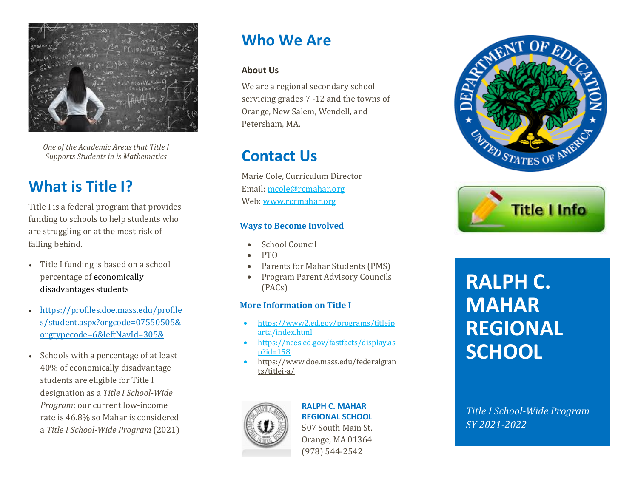

*One of the Academic Areas that Title I Supports Students in is Mathematics*

## **What is Title I?**

Title I is a federal program that provides funding to schools to help students who are struggling or at the most risk of falling behind.

- Title I funding is based on a school percentage of [economically](https://profiles.doe.mass.edu/profiles/student.aspx?orgcode=07550505&orgtypecode=6&leftNavId=305&)  [disadvantages students](https://profiles.doe.mass.edu/profiles/student.aspx?orgcode=07550505&orgtypecode=6&leftNavId=305&)
- [https://profiles.doe.mass.edu/profile](https://profiles.doe.mass.edu/profiles/student.aspx?orgcode=07550505&orgtypecode=6&leftNavId=305&) [s/student.aspx?orgcode=07550505&](https://profiles.doe.mass.edu/profiles/student.aspx?orgcode=07550505&orgtypecode=6&leftNavId=305&) [orgtypecode=6&leftNavId=305&](https://profiles.doe.mass.edu/profiles/student.aspx?orgcode=07550505&orgtypecode=6&leftNavId=305&)
- Schools with a percentage of at least 40% of economically disadvantage students are eligible for Title I designation as a *Title I School-Wide Program*; our current low-income rate is 46.8% so Mahar is considered a *Title I School-Wide Program* (2021)

## **Who We Are**

### **About Us**

We are a regional secondary school servicing grades 7 -12 and the towns of Orange, New Salem, Wendell, and Petersham, MA.

## **Contact Us**

Marie Cole, Curriculum Director Email: [mcole@rcmahar.org](mailto:mcole@rcmahar.org) Web[: www.rcrmahar.org](http://www.rcrmahar.org/)

### **Ways to Become Involved**

- School Council
- PTO
- Parents for Mahar Students (PMS)
- Program Parent Advisory Councils (PACs)

### **More Information on Title I**

- [https://www2.ed.gov/programs/titleip](https://www2.ed.gov/programs/titleiparta/index.html) [arta/index.html](https://www2.ed.gov/programs/titleiparta/index.html)
- [https://nces.ed.gov/fastfacts/display.as](https://nces.ed.gov/fastfacts/display.asp?id=158) [p?id=158](https://nces.ed.gov/fastfacts/display.asp?id=158)
- [https://www.doe.mass.edu/federalgran](https://www.doe.mass.edu/federalgrants/titlei-a/) [ts/titlei-a/](https://www.doe.mass.edu/federalgrants/titlei-a/)



### **RALPH C. MAHAR**

**REGIONAL SCHOOL** 507 South Main St. Orange, MA 01364 (978) 544-2542





# **RALPH C. MAHAR REGIONAL SCHOOL**

*Title I School-Wide Program SY 2021-2022*